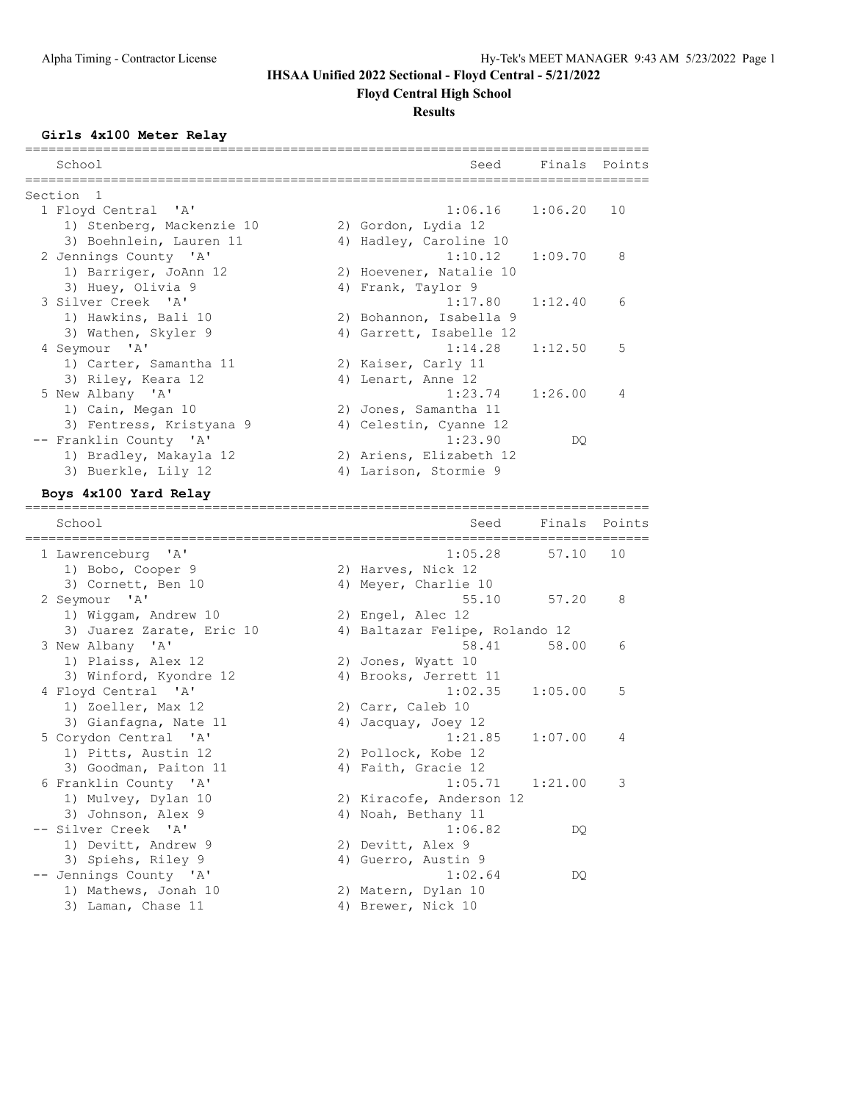## **IHSAA Unified 2022 Sectional - Floyd Central - 5/21/2022**

**Floyd Central High School**

### **Results**

#### **Girls 4x100 Meter Relay**

| School                    |    | Seed                    | Finals Points |    |
|---------------------------|----|-------------------------|---------------|----|
| Section <sub>1</sub>      |    |                         |               |    |
| 1 Floyd Central 'A'       |    | 1:06.16                 | 1:06.20       | 10 |
| 1) Stenberg, Mackenzie 10 |    | 2) Gordon, Lydia 12     |               |    |
| 3) Boehnlein, Lauren 11   | 4) | Hadley, Caroline 10     |               |    |
| 2 Jennings County 'A'     |    | 1:10.12                 | 1:09.70       | 8  |
| 1) Barriger, JoAnn 12     |    | 2) Hoevener, Natalie 10 |               |    |
| 3) Huey, Olivia 9         |    | 4) Frank, Taylor 9      |               |    |
| 3 Silver Creek 'A'        |    | 1:17.80                 | 1:12.40       | 6  |
| 1) Hawkins, Bali 10       |    | 2) Bohannon, Isabella 9 |               |    |
| 3) Wathen, Skyler 9       |    | 4) Garrett, Isabelle 12 |               |    |
| 4 Seymour 'A'             |    | 1:14.28                 | 1:12.50       | 5  |
| 1) Carter, Samantha 11    |    | 2) Kaiser, Carly 11     |               |    |
| 3) Riley, Keara 12        |    | 4) Lenart, Anne 12      |               |    |
| 5 New Albany 'A'          |    | $1:23.74$ $1:26.00$     |               | 4  |
| 1) Cain, Megan 10         |    | 2) Jones, Samantha 11   |               |    |
| 3) Fentress, Kristyana 9  |    | 4) Celestin, Cyanne 12  |               |    |
| -- Franklin County 'A'    |    | 1:23.90                 | DQ.           |    |
| 1) Bradley, Makayla 12    |    | 2) Ariens, Elizabeth 12 |               |    |
| 3) Buerkle, Lily 12       | 4) | Larison, Stormie 9      |               |    |
| Boys 4x100 Yard Relay     |    |                         |               |    |

================================================================================

School School Seed Finals Points ================================================================================ 1 Lawrenceburg 'A' 1:05.28 57.10 10 1) Bobo, Cooper 9 2) Harves, Nick 12 3) Cornett, Ben 10 4) Meyer, Charlie 10 2 Seymour 'A' 55.10 57.20 8 1) Wiggam, Andrew 10 2) Engel, Alec 12 3) Juarez Zarate, Eric 10 4) Baltazar Felipe, Rolando 12 3 New Albany 'A' 58.41 58.00 6 1) Plaiss, Alex 12 2) Jones, Wyatt 10 3) Winford, Kyondre 12 4) Brooks, Jerrett 11 4 Floyd Central 'A' 1:02.35 1:05.00 5 1) Zoeller, Max 12 2) Carr, Caleb 10 3) Gianfagna, Nate 11 (4) Jacquay, Joey 12 5 Corydon Central 'A' 1:21.85 1:07.00 4 1) Pitts, Austin 12 2) Pollock, Kobe 12 3) Goodman, Paiton 11 (4) Faith, Gracie 12 6 Franklin County 'A' 1:05.71 1:21.00 3 1) Mulvey, Dylan 10 2) Kiracofe, Anderson 12 3) Johnson, Alex 9 4) Noah, Bethany 11 -- Silver Creek 'A' 1:06.82 DQ 1) Devitt, Andrew 9 2) Devitt, Alex 9 3) Spiehs, Riley 9 (4) Guerro, Austin 9 -- Jennings County 'A' 1:02.64 DQ 1) Mathews, Jonah 10 2) Matern, Dylan 10 3) Laman, Chase 11 4) Brewer, Nick 10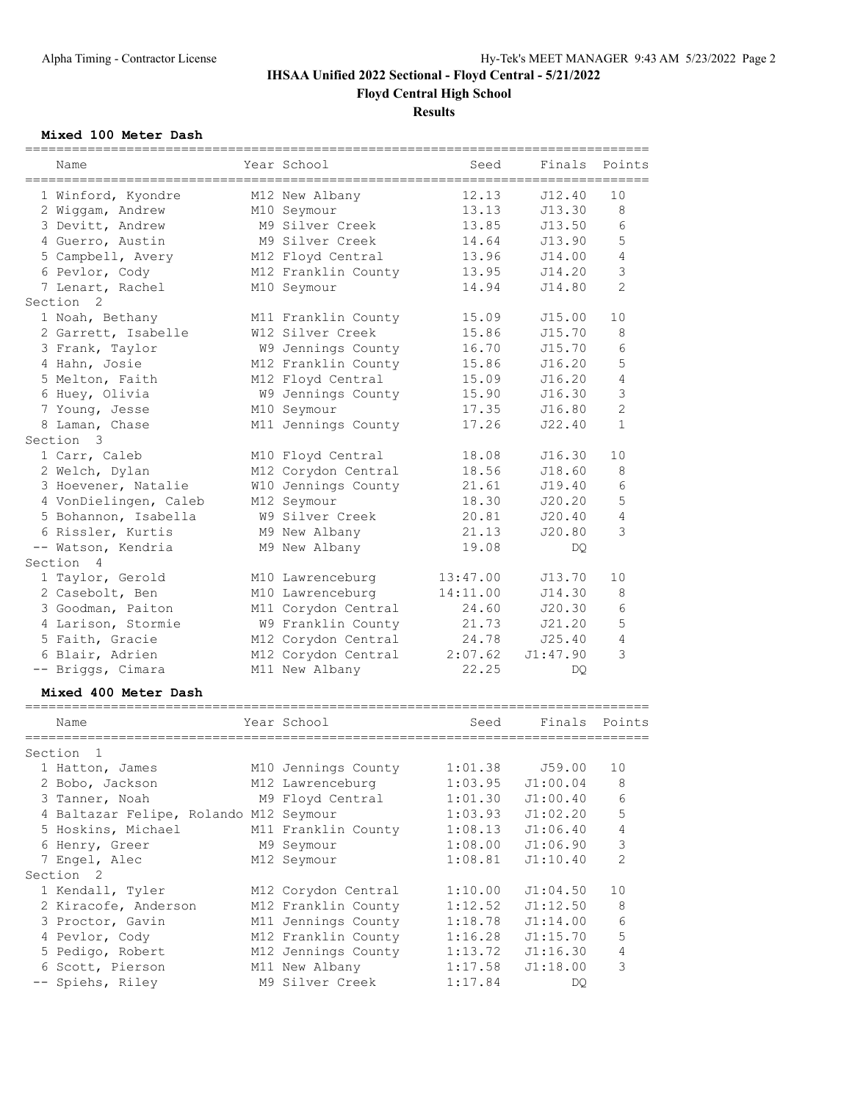# **IHSAA Unified 2022 Sectional - Floyd Central - 5/21/2022 Floyd Central High School**

## **Results**

## **Mixed 100 Meter Dash**

| ===========           |                     |          |               |                |
|-----------------------|---------------------|----------|---------------|----------------|
| Name                  | Year School         | Seed     | Finals Points |                |
| 1 Winford, Kyondre    | M12 New Albany      | 12.13    | J12.40        | 10             |
| 2 Wiggam, Andrew      | M10 Seymour         | 13.13    | J13.30        | 8              |
| 3 Devitt, Andrew      | M9 Silver Creek     | 13.85    | J13.50        | 6              |
| 4 Guerro, Austin      | M9 Silver Creek     | 14.64    | J13.90        | 5              |
| 5 Campbell, Avery     | M12 Floyd Central   | 13.96    | J14.00        | 4              |
| 6 Pevlor, Cody        | M12 Franklin County | 13.95    | J14.20        | 3              |
| 7 Lenart, Rachel      | M10 Seymour         | 14.94    | J14.80        | $\mathcal{L}$  |
| Section 2             |                     |          |               |                |
| 1 Noah, Bethany       | M11 Franklin County | 15.09    | J15.00        | 10             |
| 2 Garrett, Isabelle   | W12 Silver Creek    | 15.86    | J15.70        | 8              |
| 3 Frank, Taylor       | W9 Jennings County  | 16.70    | J15.70        | 6              |
| 4 Hahn, Josie         | M12 Franklin County | 15.86    | J16.20        | 5              |
| 5 Melton, Faith       | M12 Floyd Central   | 15.09    | J16.20        | 4              |
| 6 Huey, Olivia        | W9 Jennings County  | 15.90    | J16.30        | 3              |
| 7 Young, Jesse        | M10 Seymour         | 17.35    | J16.80        | $\overline{2}$ |
| 8 Laman, Chase        | M11 Jennings County | 17.26    | J22.40        | $\mathbf{1}$   |
| Section 3             |                     |          |               |                |
| 1 Carr, Caleb         | M10 Floyd Central   | 18.08    | J16.30        | 10             |
| 2 Welch, Dylan        | M12 Corydon Central | 18.56    | J18.60        | 8              |
| 3 Hoevener, Natalie   | W10 Jennings County | 21.61    | J19.40        | 6              |
| 4 VonDielingen, Caleb | M12 Seymour         | 18.30    | J20.20        | 5              |
| 5 Bohannon, Isabella  | W9 Silver Creek     | 20.81    | J20.40        | 4              |
| 6 Rissler, Kurtis     | M9 New Albany       | 21.13    | J20.80        | 3              |
| -- Watson, Kendria    | M9 New Albany       | 19.08    | DQ.           |                |
| Section 4             |                     |          |               |                |
| 1 Taylor, Gerold      | M10 Lawrenceburg    | 13:47.00 | J13.70        | 10             |
| 2 Casebolt, Ben       | M10 Lawrenceburg    | 14:11.00 | J14.30        | 8              |
| 3 Goodman, Paiton     | M11 Corydon Central | 24.60    | J20.30        | 6              |
| 4 Larison, Stormie    | W9 Franklin County  | 21.73    | J21.20        | 5              |
| 5 Faith, Gracie       | M12 Corydon Central | 24.78    | J25.40        | 4              |
| 6 Blair, Adrien       | M12 Corydon Central | 2:07.62  | J1:47.90      | 3              |
| -- Briggs, Cimara     | M11 New Albany      | 22.25    | DO.           |                |
|                       |                     |          |               |                |

### **Mixed 400 Meter Dash**

| Name           |                                                                                                                                                                                                                                                                                     | Seed                                                                                                                                                                                                                                                                                                                             | Finals   | Points         |
|----------------|-------------------------------------------------------------------------------------------------------------------------------------------------------------------------------------------------------------------------------------------------------------------------------------|----------------------------------------------------------------------------------------------------------------------------------------------------------------------------------------------------------------------------------------------------------------------------------------------------------------------------------|----------|----------------|
| $\overline{1}$ |                                                                                                                                                                                                                                                                                     |                                                                                                                                                                                                                                                                                                                                  |          |                |
|                |                                                                                                                                                                                                                                                                                     | 1:01.38                                                                                                                                                                                                                                                                                                                          | J59.00   | 10             |
|                |                                                                                                                                                                                                                                                                                     | 1:03.95                                                                                                                                                                                                                                                                                                                          | J1:00.04 | 8              |
|                |                                                                                                                                                                                                                                                                                     | 1:01.30                                                                                                                                                                                                                                                                                                                          | J1:00.40 | 6              |
|                |                                                                                                                                                                                                                                                                                     | 1:03.93                                                                                                                                                                                                                                                                                                                          | J1:02.20 | 5              |
|                |                                                                                                                                                                                                                                                                                     | 1:08.13                                                                                                                                                                                                                                                                                                                          | J1:06.40 | 4              |
|                |                                                                                                                                                                                                                                                                                     | 1:08.00                                                                                                                                                                                                                                                                                                                          | J1:06.90 | 3              |
|                |                                                                                                                                                                                                                                                                                     | 1:08.81                                                                                                                                                                                                                                                                                                                          | J1:10.40 | $\overline{2}$ |
|                |                                                                                                                                                                                                                                                                                     |                                                                                                                                                                                                                                                                                                                                  |          |                |
|                |                                                                                                                                                                                                                                                                                     | 1:10.00                                                                                                                                                                                                                                                                                                                          | J1:04.50 | 10             |
|                |                                                                                                                                                                                                                                                                                     | 1:12.52                                                                                                                                                                                                                                                                                                                          | J1:12.50 | 8              |
|                |                                                                                                                                                                                                                                                                                     | 1:18.78                                                                                                                                                                                                                                                                                                                          | J1:14.00 | 6              |
|                |                                                                                                                                                                                                                                                                                     | 1:16.28                                                                                                                                                                                                                                                                                                                          | J1:15.70 | 5              |
|                |                                                                                                                                                                                                                                                                                     | 1:13.72                                                                                                                                                                                                                                                                                                                          | J1:16.30 | 4              |
|                |                                                                                                                                                                                                                                                                                     | 1:17.58                                                                                                                                                                                                                                                                                                                          | J1:18.00 | 3              |
|                |                                                                                                                                                                                                                                                                                     | 1:17.84                                                                                                                                                                                                                                                                                                                          | DO       |                |
|                | Section<br>1 Hatton, James<br>2 Bobo, Jackson<br>3 Tanner, Noah<br>5 Hoskins, Michael<br>6 Henry, Greer<br>7 Engel, Alec<br>Section 2<br>1 Kendall, Tyler<br>2 Kiracofe, Anderson<br>3 Proctor, Gavin<br>4 Pevlor, Cody<br>5 Pedigo, Robert<br>6 Scott, Pierson<br>-- Spiehs, Riley | Year School<br>M10 Jennings County<br>M12 Lawrenceburg<br>M9 Floyd Central<br>4 Baltazar Felipe, Rolando M12 Seymour<br>M11 Franklin County<br>M9 Seymour<br>M12 Seymour<br>M12 Corydon Central<br>M12 Franklin County<br>M11 Jennings County<br>M12 Franklin County<br>M12 Jennings County<br>M11 New Albany<br>M9 Silver Creek |          |                |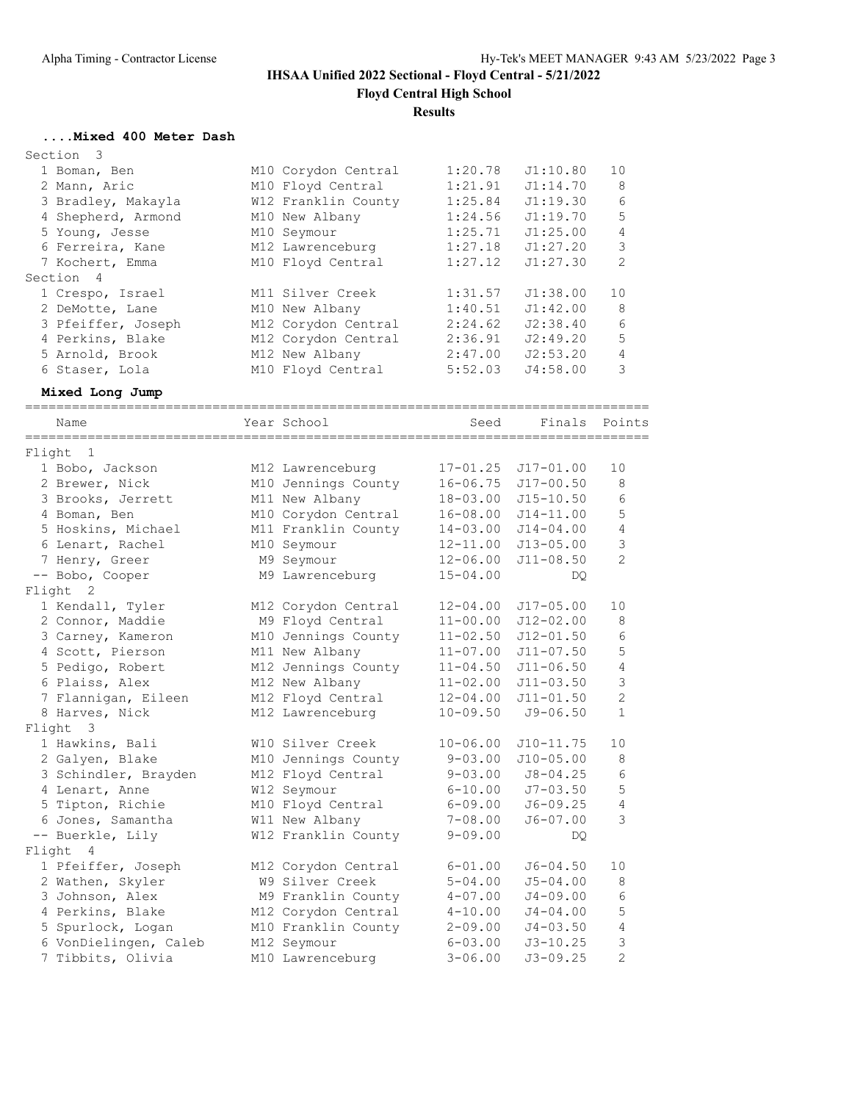## **IHSAA Unified 2022 Sectional - Floyd Central - 5/21/2022 Floyd Central High School**

## **Results**

## **....Mixed 400 Meter Dash**

| Section 3          |                     |         |          |                |
|--------------------|---------------------|---------|----------|----------------|
| 1 Boman, Ben       | M10 Corydon Central | 1:20.78 | J1:10.80 | 10             |
| 2 Mann, Aric       | M10 Floyd Central   | 1:21.91 | J1:14.70 | 8              |
| 3 Bradley, Makayla | W12 Franklin County | 1:25.84 | J1:19.30 | 6              |
| 4 Shepherd, Armond | M10 New Albany      | 1:24.56 | J1:19.70 | 5              |
| 5 Young, Jesse     | M10 Seymour         | 1:25.71 | J1:25.00 | $\overline{4}$ |
| 6 Ferreira, Kane   | M12 Lawrenceburg    | 1:27.18 | J1:27.20 | 3              |
| 7 Kochert, Emma    | M10 Floyd Central   | 1:27.12 | J1:27.30 | $\mathfrak{D}$ |
| Section 4          |                     |         |          |                |
| 1 Crespo, Israel   | M11 Silver Creek    | 1:31.57 | J1:38.00 | 10             |
| 2 DeMotte, Lane    | M10 New Albany      | 1:40.51 | J1:42.00 | 8              |
| 3 Pfeiffer, Joseph | M12 Corydon Central | 2:24.62 | J2:38.40 | 6              |
| 4 Perkins, Blake   | M12 Corydon Central | 2:36.91 | J2:49.20 | 5              |
| 5 Arnold, Brook    | M12 New Albany      | 2:47.00 | J2:53.20 | 4              |
| 6 Staser, Lola     | M10 Floyd Central   | 5:52.03 | J4:58.00 | 3              |

### **Mixed Long Jump**

|        | Name                  | Year School         | Seed         | Finals        | Points         |
|--------|-----------------------|---------------------|--------------|---------------|----------------|
| Flight | 1                     |                     |              |               |                |
|        | 1 Bobo, Jackson       | M12 Lawrenceburg    | $17 - 01.25$ | $J17 - 01.00$ | 10             |
|        | 2 Brewer, Nick        | M10 Jennings County | $16 - 06.75$ | $J17 - 00.50$ | 8              |
|        | 3 Brooks, Jerrett     | M11 New Albany      | $18 - 03.00$ | $J15 - 10.50$ | 6              |
|        | 4 Boman, Ben          | M10 Corydon Central | $16 - 08.00$ | $J14 - 11.00$ | 5              |
|        | 5 Hoskins, Michael    | M11 Franklin County | $14 - 03.00$ | $J14 - 04.00$ | $\sqrt{4}$     |
|        | 6 Lenart, Rachel      | M10 Seymour         | $12 - 11.00$ | $J13 - 05.00$ | 3              |
|        | 7 Henry, Greer        | M9 Seymour          | $12 - 06.00$ | $J11 - 08.50$ | $\overline{2}$ |
|        | -- Bobo, Cooper       | M9 Lawrenceburg     | $15 - 04.00$ | <b>DO</b>     |                |
| Flight | 2                     |                     |              |               |                |
|        | 1 Kendall, Tyler      | M12 Corydon Central | $12 - 04.00$ | $J17 - 05.00$ | 10             |
|        | 2 Connor, Maddie      | M9 Floyd Central    | $11 - 00.00$ | $J12 - 02.00$ | 8              |
|        | 3 Carney, Kameron     | M10 Jennings County | $11 - 02.50$ | $J12 - 01.50$ | 6              |
|        | 4 Scott, Pierson      | M11 New Albany      | $11 - 07.00$ | $J11 - 07.50$ | 5              |
|        | 5 Pedigo, Robert      | M12 Jennings County | $11 - 04.50$ | $J11 - 06.50$ | $\overline{4}$ |
|        | 6 Plaiss, Alex        | M12 New Albany      | $11 - 02.00$ | $J11 - 03.50$ | 3              |
|        | 7 Flannigan, Eileen   | M12 Floyd Central   | $12 - 04.00$ | $J11 - 01.50$ | $\overline{2}$ |
|        | 8 Harves, Nick        | M12 Lawrenceburg    | $10 - 09.50$ | $J9 - 06.50$  | $\mathbf{1}$   |
| Flight | $\mathbf{3}$          |                     |              |               |                |
|        | 1 Hawkins, Bali       | W10 Silver Creek    | $10 - 06.00$ | $J10-11.75$   | 10             |
|        | 2 Galyen, Blake       | M10 Jennings County | $9 - 03.00$  | $J10-05.00$   | 8              |
|        | 3 Schindler, Brayden  | M12 Floyd Central   | $9 - 03.00$  | $J8 - 04.25$  | 6              |
|        | 4 Lenart, Anne        | W12 Seymour         | $6 - 10.00$  | $J7 - 03.50$  | 5              |
|        | 5 Tipton, Richie      | M10 Floyd Central   | $6 - 09.00$  | $J6 - 09.25$  | 4              |
|        | 6 Jones, Samantha     | W11 New Albany      | $7 - 08.00$  | $J6 - 07.00$  | 3              |
|        | -- Buerkle, Lily      | W12 Franklin County | $9 - 09.00$  | DQ.           |                |
| Flight | $\overline{4}$        |                     |              |               |                |
|        | 1 Pfeiffer, Joseph    | M12 Corydon Central | $6 - 01.00$  | $J6 - 04.50$  | 10             |
|        | 2 Wathen, Skyler      | W9 Silver Creek     | $5 - 04.00$  | $J5 - 04.00$  | 8              |
|        | 3 Johnson, Alex       | M9 Franklin County  | $4 - 07.00$  | $J4 - 09.00$  | 6              |
|        | 4 Perkins, Blake      | M12 Corydon Central | $4 - 10.00$  | $J4 - 04.00$  | 5              |
|        | 5 Spurlock, Logan     | M10 Franklin County | $2 - 09.00$  | $J4 - 03.50$  | 4              |
|        | 6 VonDielingen, Caleb | M12 Seymour         | $6 - 03.00$  | $J3 - 10.25$  | 3              |
|        | 7 Tibbits, Olivia     | M10 Lawrenceburg    | $3 - 06.00$  | $J3 - 09.25$  | $\overline{2}$ |